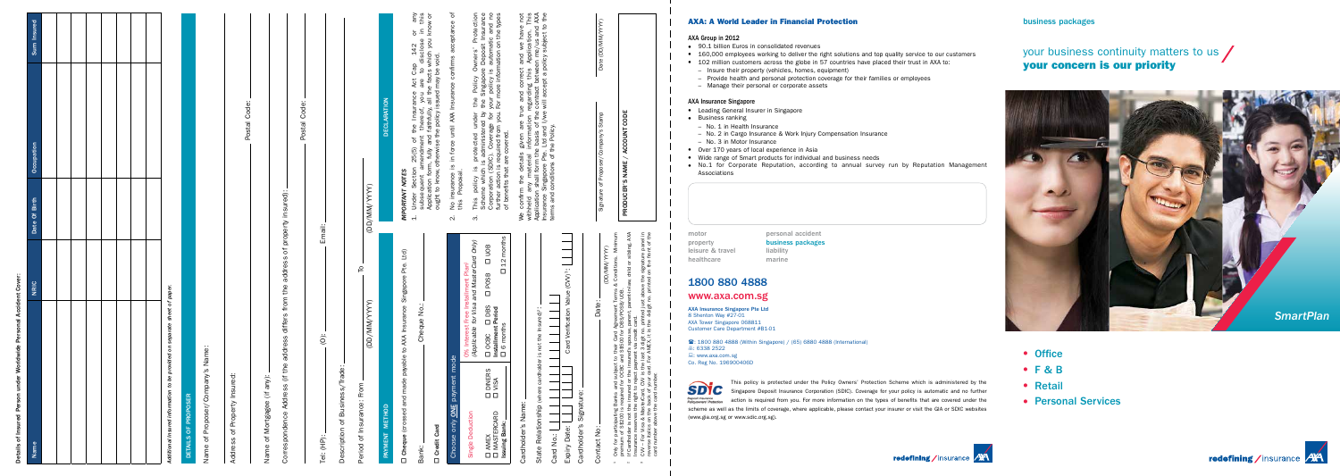#### AXA: A World Leader in Financial Protection

#### AXA Group in 2012

- 90.1 billion Euros in consolidated revenues
- 160,000 employees working to deliver the right solutions and top quality service to our customers
- 102 million customers across the globe in 57 countries have placed their trust in AXA to:
	- Insure their property (vehicles, homes, equipment)
	- Provide health and personal protection coverage for their families or employees
	- Manage their personal or corporate assets

#### AXA Insurance Singapore

- Leading General Insurer in Singapore
- Business ranking
	- No. 1 in Health Insurance
	- No. 2 in Cargo Insurance & Work Injury Compensation Insurance
	- No. 3 in Motor Insurance
- Over 170 years of local experience in Asia
- Wide range of Smart products for individual and business needs
- No.1 for Corporate Reputation, according to annual survey run by Reputation Management Associations

motor **personal accident** leisure & travel liability healthcare marine

property business packages

## 1800 880 4888

### www.axa.com.sg

AXA Insurance Singapore Pte Ltd 8 Shenton Way #27-01 AXA Tower Singapore 068811 Customer Care Department #B1-01

: 1800 880 4888 (Within Singapore) / (65) 6880 4888 (International) ■: 6338 2522 : www.axa.com.sg Co. Reg No. 196900406D



This policy is protected under the Policy Owners' Protection Scheme which is administered by the Singapore Deposit Insurance Corporation (SDIC). Coverage for your policy is automatic and no further action is required from you. For more information on the types of benefits that are covered under the scheme as well as the limits of coverage, where applicable, please contact your insurer or visit the GIA or SDIC websites (www.gia.org.sg or www.sdic.org.sg).

# your business continuity matters to us / your concern is our priority



- Office
- $\bullet$  F & B
- Retail
- **Personal Services**